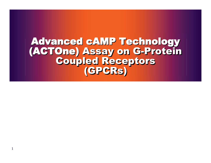Advanced cAMP Technology (ACTOne) Assay on G-Protein Coupled Receptors (GPCRs)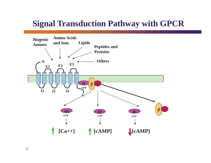### **Signal Transduction Pathway with GPCR**

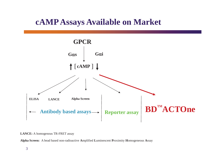### **cAMP Assays Available on Market**



**LANCE:** A homogenous TR-FRET assay

**Alpha Screen:** A bead based non-radioactive **A**mplified **L**uminescent **P**roximity **H**omogeneous **A**ssay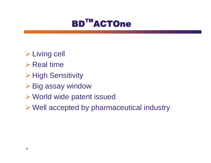

- **≻ Living cell**
- $\triangleright$  Real time
- **≻ High Sensitivity**
- **≻ Big assay window**
- ¾ World wide patent issued
- ¾ Well accepted by pharmaceutical industry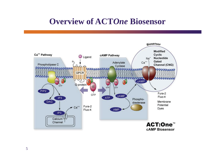### **Overview of ACT***One* **Biosensor**

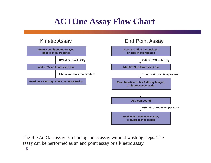## **ACTOne Assay Flow Chart**



The BD Act*One* assay is a homogenous assay without washing steps. The assay can be performed as an end point assay or a kinetic assay.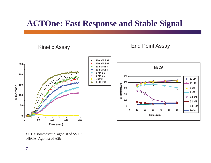### **ACTOne: Fast Response and Stable Signal**



SST = somatostatin, agonist of SSTR NECA: Agonist of A2b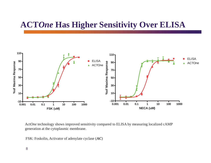### **ACT***One* **Has Higher Sensitivity Over ELISA**



Act*One* technology shows improved sensitivity compared to ELISA by measuring localized cAMP generation at the cytoplasmic membrane.

FSK: Foskolin, Activator of adenylate cyclase (*AC*)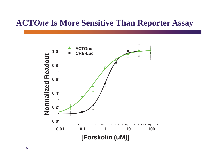### **ACT***One* **Is More Sensitive Than Reporter Assay**

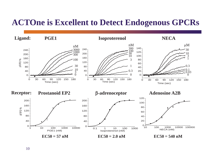### **ACTOne is Excellent to Detect Endogenous GPCRs**

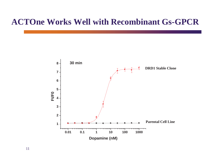### **ACTOne Works Well with Recombinant Gs-GPCR**

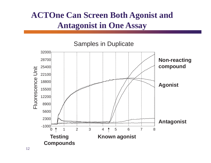## **ACTOne Can Screen Both Agonist and Antagonist in One Assay**

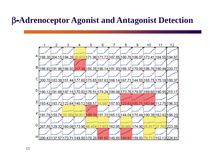### E-**Adrenoceptor Agonist and Antagonist Detection**

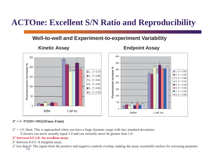### **ACTOne: Excellent S/N Ratio and Reproducibility**

### **Well-to-well and Experiment-to-experiment Variability**



### **Kinetic Assay Endpoint Assay**

Buffer 1 uM Iso

#### **Z' = 1- 3\*(SD1+SD2)/(Fmax-Fmin)**

 $Z' = 1.0$ : Ideal. This is approached when you have a huge dynamic range with tiny standard deviations.

Z-factors can never actually equal 1.0 and can certainly never be greater than 1.0.

#### **Z' between 0.5-1.0: An excellent assay.**

Z' between 0-0.5: A marginal assay.

Z' less than 0: The signal from the positive and negative controls overlap, making the assay essentially useless for screening purposes.<br>14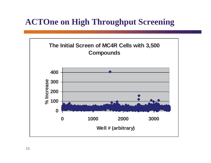### **ACTOne on High Throughput Screening**

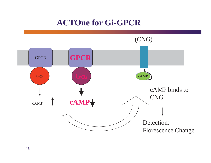### **ACTOne for Gi-GPCR**

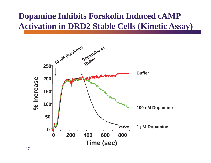## **Dopamine Inhibits Forskolin Induced cAMP Activation in DRD2 Stable Cells (Kinetic Assay)**

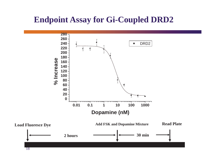### **Endpoint Assay for Gi-Coupled DRD2**

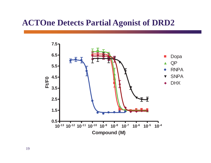### **ACTOne Detects Partial Agonist of DRD2**

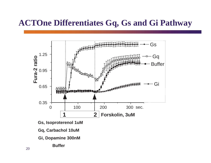### **ACTOne Differentiates Gq, Gs and Gi Pathway**



- **Gi, Dopamine 300nM** 
	- **Buffer**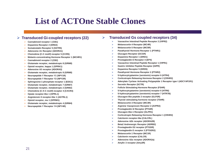### **List of ACTOne Stable Clones**

#### ¾ **Transduced Gi-coupled receptors (22)**

- ¾**Cannabinoid receptor 1 (CB1)**
- ¾**Dopamine Receptor 2 (DRD2)**
- $\blacktriangleright$ **Somatostatin Receptor 5 (SSTR5)**
- $\blacktriangleright$ **Adenosine A1 Receptor (ADORA1)**
- ¾**Chemokine (C-C motif) receptor 5 (CCR5)**
- ¾**Melanin-concentrating Hormone Receptor 1 (MCHR1)**
- ¾**Cannabinoid receptor 2 (CB2)**
- ¾**Glutamate receptor, metabotropic 8 (GRM8)**
- ¾**Opioid receptor, kappa 1 (OPRK1)**
- ¾**Adenosine A3 receptor (ADORA3)**
- ¾**Glutamate receptor, metabotropic 8 (GRM8)**
- $\blacktriangleright$ **Neuropeptide Y Receptor Y1 (NPY1R)**
- ¾**Neuropeptide Y Receptor Y2 (NPY2R)**
- $\blacktriangleright$ **Sphingosine-1-phosphate receptor 1 (EDG1)**
- ¾**Glutamate receptor, metabotropic 7 (GRM7)**
- ¾**Glutamate receptor, metabotropic 2 (GRM2)**
- ¾**Chemokine (C-X-C motif) receptor 4 (CXCR4)**
- ¾**Opiate receptor-like 1 (OPRL1)**
- ¾**Angiotensin II receptor-like 1 (AGTRL1)**
- ¾**Opioid receptor, mu 1 (OPRM1)**
- ¾**Glutamate receptor, metabotropic 4 (GRM4)**
- ¾**Neuropeptide Y Receptor Y4 (NPY4R)**

#### ¾**Transduced Gs coupled receptors (34)**

- ¾**Vasoactive Intestinal Peptide Receptor 2 (VIPR2)**
- ¾**Melanocortin 4 Receptor (MC4R)**
- ¾**Melanocortin 5 Receptor (MC5R)**
- ¾**Parathyroid Hormone Receptor 1 (PTHR1)**
- ¾**Glucagon Receptor (GCGR)**
- ¾**Dopamine Receptor 1 (DRD1)**
- ¾**Prostaglandin E Receptor 4 (EP4)**
- ¾**Vasoactive Intestinal Peptide Receptor 1 (VIPR1)**
- ¾**Gastric Inhibitor Peptide Receptor (GIPR)**
- $\blacktriangleright$ **Dopamine Receptor 5 (DRD5)**
- ¾**Parathyroid Hormone Receptor 2 (PTHR2)**
- ¾**5-hydroxytryptamine (serotonin) receptor 6 (HTR4)**
- ¾**Corticotropin Releasing Hormone Receptor 2 (CRHR2)**
- ¾**Adenylate Cyclase Activating Polypeptide 1 Receptor type I (ADCYAP1R1)**
- ¾**Secretin Receptor (SCTR)**
- ¾**Follicle Stimulating Hormone Receptor (FSHR)**
- ¾**5-hydroxytryptamine (serotonin) receptor 6 (HTR6)**
- ¾**5-hydroxytryptamine (serotonin) receptor 7 (HTR7B)**
- ¾**Glucagon-like peptide 2 receptor (GLP2R)**
- ¾**Thyroid stimulating hormone receptor (TSHR)**
- ¾**Melanocortin 3 Receptor (MC3R)**
- ¾**Arginine Vasopressin Receptor 2 (AVPR2)**
- ¾**Prostaglandin I2 Receptor (PTGIR)**
- ¾**Glucagon-like-1 Receptor (GLPR1)**
- ¾**Corticotropin Releasing Hormone Receptor 1 (CRHR2)**
- ¾**Calcitonin receptor-like (CALCRL)**
- ¾**Adenosine A2b receptor (ADORA2B)**
- ¾**Beta2 Andrenergic Receptor (ADRB2)**
- ¾**Prostaglandin D2 receptor (PTGDR)**
- ¾**Prostaglandin E receptor 2 (PTGER2)**
- ¾**Melanocortin 1 Receptor (MC1R)**
- ¾**Calcitonin receptor (CALCR)**
- ¾**Adenosine A2a receptor (ADORA2a)**
- ¾**Amylin 3 receptor (Amy3R)**